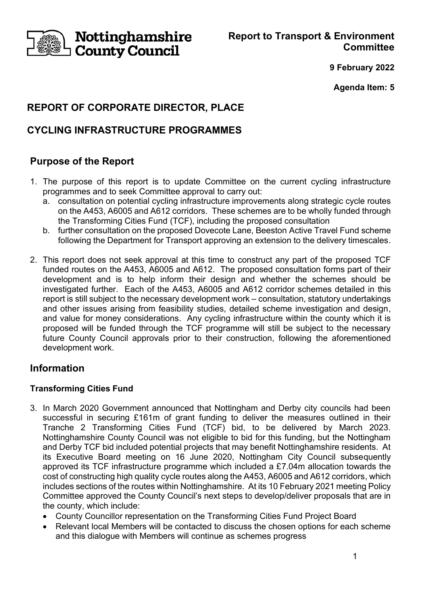

**Report to Transport & Environment Committee**

**9 February 2022**

**Agenda Item: 5**

# **REPORT OF CORPORATE DIRECTOR, PLACE**

# **CYCLING INFRASTRUCTURE PROGRAMMES**

# **Purpose of the Report**

- 1. The purpose of this report is to update Committee on the current cycling infrastructure programmes and to seek Committee approval to carry out:
	- a. consultation on potential cycling infrastructure improvements along strategic cycle routes on the A453, A6005 and A612 corridors. These schemes are to be wholly funded through the Transforming Cities Fund (TCF), including the proposed consultation
	- b. further consultation on the proposed Dovecote Lane, Beeston Active Travel Fund scheme following the Department for Transport approving an extension to the delivery timescales.
- 2. This report does not seek approval at this time to construct any part of the proposed TCF funded routes on the A453, A6005 and A612. The proposed consultation forms part of their development and is to help inform their design and whether the schemes should be investigated further. Each of the A453, A6005 and A612 corridor schemes detailed in this report is still subject to the necessary development work – consultation, statutory undertakings and other issues arising from feasibility studies, detailed scheme investigation and design, and value for money considerations. Any cycling infrastructure within the county which it is proposed will be funded through the TCF programme will still be subject to the necessary future County Council approvals prior to their construction, following the aforementioned development work.

# **Information**

## **Transforming Cities Fund**

- 3. In March 2020 Government announced that Nottingham and Derby city councils had been successful in securing £161m of grant funding to deliver the measures outlined in their Tranche 2 Transforming Cities Fund (TCF) bid, to be delivered by March 2023. Nottinghamshire County Council was not eligible to bid for this funding, but the Nottingham and Derby TCF bid included potential projects that may benefit Nottinghamshire residents. At its Executive Board meeting on 16 June 2020, Nottingham City Council subsequently approved its TCF infrastructure programme which included a £7.04m allocation towards the cost of constructing high quality cycle routes along the A453, A6005 and A612 corridors, which includes sections of the routes within Nottinghamshire. At its 10 February 2021 meeting Policy Committee approved the County Council's next steps to develop/deliver proposals that are in the county, which include:
	- County Councillor representation on the Transforming Cities Fund Project Board
	- Relevant local Members will be contacted to discuss the chosen options for each scheme and this dialogue with Members will continue as schemes progress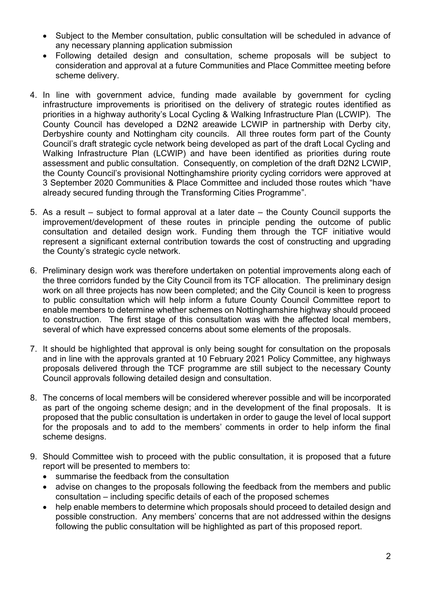- Subject to the Member consultation, public consultation will be scheduled in advance of any necessary planning application submission
- Following detailed design and consultation, scheme proposals will be subject to consideration and approval at a future Communities and Place Committee meeting before scheme delivery.
- 4. In line with government advice, funding made available by government for cycling infrastructure improvements is prioritised on the delivery of strategic routes identified as priorities in a highway authority's Local Cycling & Walking Infrastructure Plan (LCWIP). The County Council has developed a D2N2 areawide LCWIP in partnership with Derby city, Derbyshire county and Nottingham city councils. All three routes form part of the County Council's draft strategic cycle network being developed as part of the draft Local Cycling and Walking Infrastructure Plan (LCWIP) and have been identified as priorities during route assessment and public consultation. Consequently, on completion of the draft D2N2 LCWIP, the County Council's provisional Nottinghamshire priority cycling corridors were approved at 3 September 2020 Communities & Place Committee and included those routes which "have already secured funding through the Transforming Cities Programme".
- 5. As a result subject to formal approval at a later date the County Council supports the improvement/development of these routes in principle pending the outcome of public consultation and detailed design work. Funding them through the TCF initiative would represent a significant external contribution towards the cost of constructing and upgrading the County's strategic cycle network.
- 6. Preliminary design work was therefore undertaken on potential improvements along each of the three corridors funded by the City Council from its TCF allocation. The preliminary design work on all three projects has now been completed; and the City Council is keen to progress to public consultation which will help inform a future County Council Committee report to enable members to determine whether schemes on Nottinghamshire highway should proceed to construction. The first stage of this consultation was with the affected local members, several of which have expressed concerns about some elements of the proposals.
- 7. It should be highlighted that approval is only being sought for consultation on the proposals and in line with the approvals granted at 10 February 2021 Policy Committee, any highways proposals delivered through the TCF programme are still subject to the necessary County Council approvals following detailed design and consultation.
- 8. The concerns of local members will be considered wherever possible and will be incorporated as part of the ongoing scheme design; and in the development of the final proposals. It is proposed that the public consultation is undertaken in order to gauge the level of local support for the proposals and to add to the members' comments in order to help inform the final scheme designs.
- 9. Should Committee wish to proceed with the public consultation, it is proposed that a future report will be presented to members to:
	- summarise the feedback from the consultation
	- advise on changes to the proposals following the feedback from the members and public consultation – including specific details of each of the proposed schemes
	- help enable members to determine which proposals should proceed to detailed design and possible construction. Any members' concerns that are not addressed within the designs following the public consultation will be highlighted as part of this proposed report.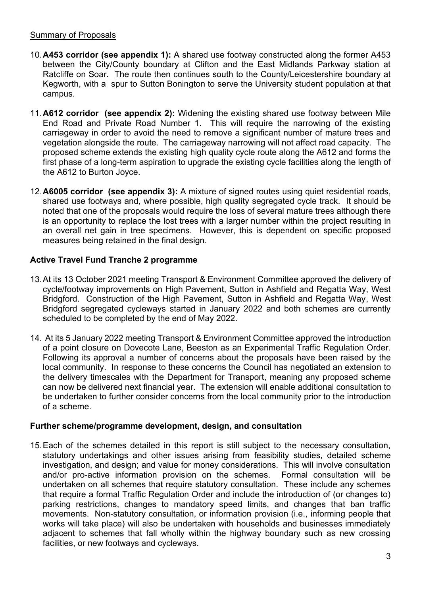#### Summary of Proposals

- 10.**A453 corridor (see appendix 1):** A shared use footway constructed along the former A453 between the City/County boundary at Clifton and the East Midlands Parkway station at Ratcliffe on Soar. The route then continues south to the County/Leicestershire boundary at Kegworth, with a spur to Sutton Bonington to serve the University student population at that campus.
- 11.**A612 corridor (see appendix 2):** Widening the existing shared use footway between Mile End Road and Private Road Number 1. This will require the narrowing of the existing carriageway in order to avoid the need to remove a significant number of mature trees and vegetation alongside the route. The carriageway narrowing will not affect road capacity. The proposed scheme extends the existing high quality cycle route along the A612 and forms the first phase of a long-term aspiration to upgrade the existing cycle facilities along the length of the A612 to Burton Joyce.
- 12.**A6005 corridor (see appendix 3):** A mixture of signed routes using quiet residential roads, shared use footways and, where possible, high quality segregated cycle track. It should be noted that one of the proposals would require the loss of several mature trees although there is an opportunity to replace the lost trees with a larger number within the project resulting in an overall net gain in tree specimens. However, this is dependent on specific proposed measures being retained in the final design.

# **Active Travel Fund Tranche 2 programme**

- 13.At its 13 October 2021 meeting Transport & Environment Committee approved the delivery of cycle/footway improvements on High Pavement, Sutton in Ashfield and Regatta Way, West Bridgford. Construction of the High Pavement, Sutton in Ashfield and Regatta Way, West Bridgford segregated cycleways started in January 2022 and both schemes are currently scheduled to be completed by the end of May 2022.
- 14. At its 5 January 2022 meeting Transport & Environment Committee approved the introduction of a point closure on Dovecote Lane, Beeston as an Experimental Traffic Regulation Order. Following its approval a number of concerns about the proposals have been raised by the local community. In response to these concerns the Council has negotiated an extension to the delivery timescales with the Department for Transport, meaning any proposed scheme can now be delivered next financial year. The extension will enable additional consultation to be undertaken to further consider concerns from the local community prior to the introduction of a scheme.

## **Further scheme/programme development, design, and consultation**

15.Each of the schemes detailed in this report is still subject to the necessary consultation, statutory undertakings and other issues arising from feasibility studies, detailed scheme investigation, and design; and value for money considerations. This will involve consultation and/or pro-active information provision on the schemes. Formal consultation will be undertaken on all schemes that require statutory consultation. These include any schemes that require a formal Traffic Regulation Order and include the introduction of (or changes to) parking restrictions, changes to mandatory speed limits, and changes that ban traffic movements. Non-statutory consultation, or information provision (i.e., informing people that works will take place) will also be undertaken with households and businesses immediately adjacent to schemes that fall wholly within the highway boundary such as new crossing facilities, or new footways and cycleways.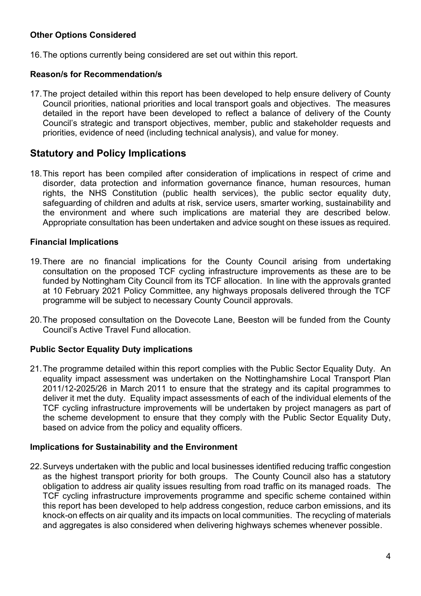## **Other Options Considered**

16.The options currently being considered are set out within this report.

### **Reason/s for Recommendation/s**

17.The project detailed within this report has been developed to help ensure delivery of County Council priorities, national priorities and local transport goals and objectives. The measures detailed in the report have been developed to reflect a balance of delivery of the County Council's strategic and transport objectives, member, public and stakeholder requests and priorities, evidence of need (including technical analysis), and value for money.

# **Statutory and Policy Implications**

18.This report has been compiled after consideration of implications in respect of crime and disorder, data protection and information governance finance, human resources, human rights, the NHS Constitution (public health services), the public sector equality duty, safeguarding of children and adults at risk, service users, smarter working, sustainability and the environment and where such implications are material they are described below. Appropriate consultation has been undertaken and advice sought on these issues as required.

#### **Financial Implications**

- 19.There are no financial implications for the County Council arising from undertaking consultation on the proposed TCF cycling infrastructure improvements as these are to be funded by Nottingham City Council from its TCF allocation. In line with the approvals granted at 10 February 2021 Policy Committee, any highways proposals delivered through the TCF programme will be subject to necessary County Council approvals.
- 20.The proposed consultation on the Dovecote Lane, Beeston will be funded from the County Council's Active Travel Fund allocation.

#### **Public Sector Equality Duty implications**

21.The programme detailed within this report complies with the Public Sector Equality Duty. An equality impact assessment was undertaken on the Nottinghamshire Local Transport Plan 2011/12-2025/26 in March 2011 to ensure that the strategy and its capital programmes to deliver it met the duty. Equality impact assessments of each of the individual elements of the TCF cycling infrastructure improvements will be undertaken by project managers as part of the scheme development to ensure that they comply with the Public Sector Equality Duty, based on advice from the policy and equality officers.

#### **Implications for Sustainability and the Environment**

22.Surveys undertaken with the public and local businesses identified reducing traffic congestion as the highest transport priority for both groups. The County Council also has a statutory obligation to address air quality issues resulting from road traffic on its managed roads. The TCF cycling infrastructure improvements programme and specific scheme contained within this report has been developed to help address congestion, reduce carbon emissions, and its knock-on effects on air quality and its impacts on local communities. The recycling of materials and aggregates is also considered when delivering highways schemes whenever possible.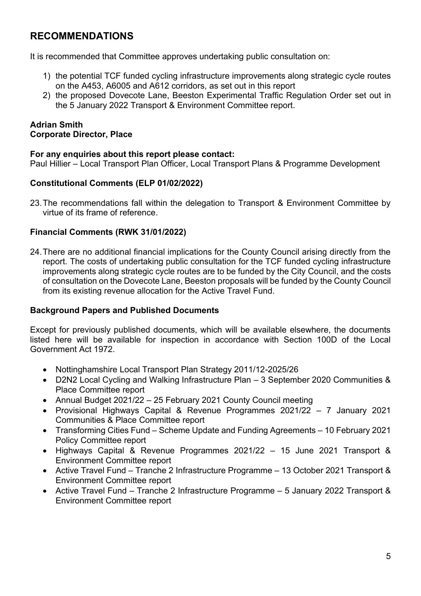# **RECOMMENDATIONS**

It is recommended that Committee approves undertaking public consultation on:

- 1) the potential TCF funded cycling infrastructure improvements along strategic cycle routes on the A453, A6005 and A612 corridors, as set out in this report
- 2) the proposed Dovecote Lane, Beeston Experimental Traffic Regulation Order set out in the 5 January 2022 Transport & Environment Committee report.

## **Adrian Smith Corporate Director, Place**

## **For any enquiries about this report please contact:**

Paul Hillier – Local Transport Plan Officer, Local Transport Plans & Programme Development

#### **Constitutional Comments (ELP 01/02/2022)**

23.The recommendations fall within the delegation to Transport & Environment Committee by virtue of its frame of reference.

#### **Financial Comments (RWK 31/01/2022)**

24.There are no additional financial implications for the County Council arising directly from the report. The costs of undertaking public consultation for the TCF funded cycling infrastructure improvements along strategic cycle routes are to be funded by the City Council, and the costs of consultation on the Dovecote Lane, Beeston proposals will be funded by the County Council from its existing revenue allocation for the Active Travel Fund.

#### **Background Papers and Published Documents**

Except for previously published documents, which will be available elsewhere, the documents listed here will be available for inspection in accordance with Section 100D of the Local Government Act 1972.

- Nottinghamshire Local Transport Plan Strategy 2011/12-2025/26
- D2N2 Local Cycling and Walking Infrastructure Plan 3 September 2020 Communities & Place Committee report
- Annual Budget 2021/22 25 February 2021 County Council meeting
- Provisional Highways Capital & Revenue Programmes 2021/22 7 January 2021 Communities & Place Committee report
- Transforming Cities Fund Scheme Update and Funding Agreements 10 February 2021 Policy Committee report
- Highways Capital & Revenue Programmes 2021/22 15 June 2021 Transport & Environment Committee report
- Active Travel Fund Tranche 2 Infrastructure Programme 13 October 2021 Transport & Environment Committee report
- Active Travel Fund Tranche 2 Infrastructure Programme 5 January 2022 Transport & Environment Committee report